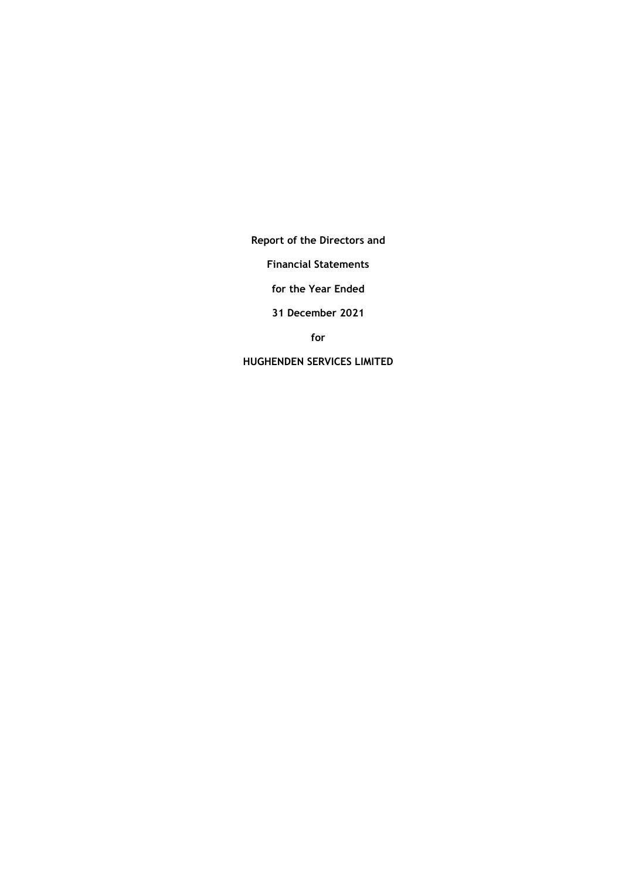**Report of the Directors and**

**Financial Statements**

**for the Year Ended**

**31 December 2021**

**for**

**HUGHENDEN SERVICES LIMITED**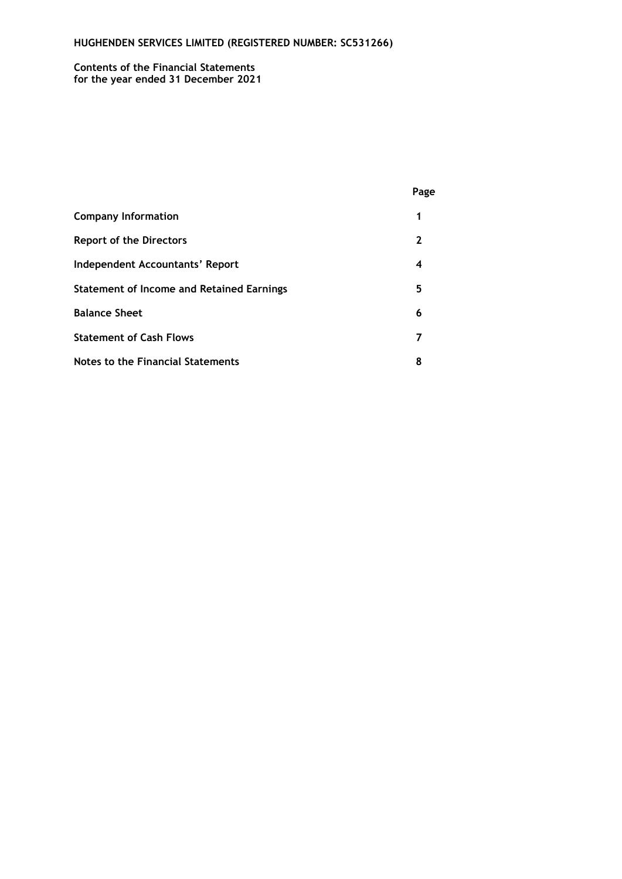#### **Contents of the Financial Statements for the year ended 31 December 2021**

|                                                  | Page |
|--------------------------------------------------|------|
| <b>Company Information</b>                       | 1    |
| <b>Report of the Directors</b>                   | 2    |
| Independent Accountants' Report                  | 4    |
| <b>Statement of Income and Retained Earnings</b> | 5    |
| <b>Balance Sheet</b>                             | 6    |
| <b>Statement of Cash Flows</b>                   | 7    |
| Notes to the Financial Statements                | 8    |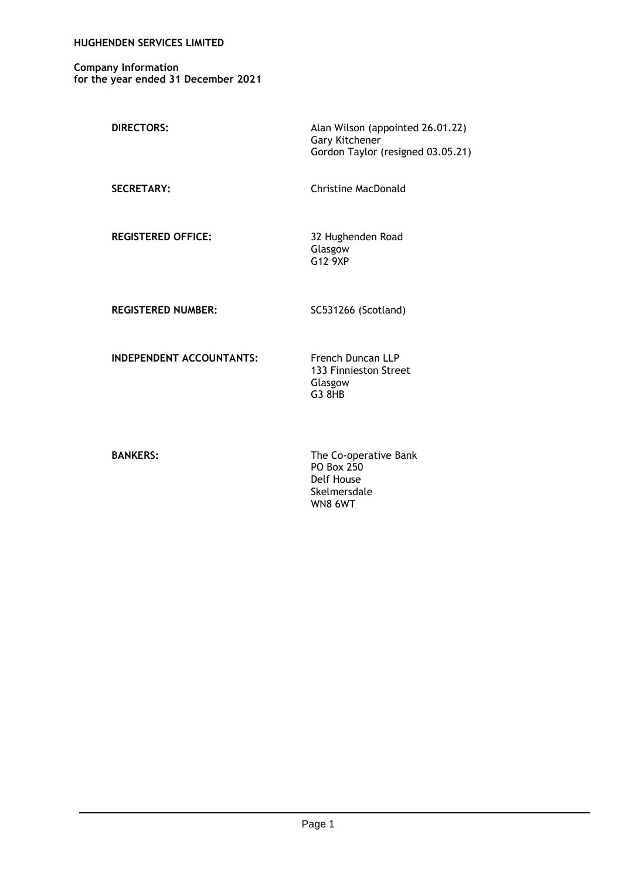### **HUGHENDEN SERVICES LIMITED**

**Company Information for the year ended 31 December 2021**

| <b>DIRECTORS:</b> | Alan Wilson (appointed 26.01.22)  |
|-------------------|-----------------------------------|
|                   | Gary Kitchener                    |
|                   | Gordon Taylor (resigned 03.05.21) |
|                   |                                   |

SECRETARY: Christine MacDonald

**REGISTERED OFFICE:** 32 Hughenden Road

Glasgow G12 9XP

REGISTERED NUMBER: SC531266 (Scotland)

**INDEPENDENT ACCOUNTANTS:** French Duncan LLP

133 Finnieston Street Glasgow G3 8HB

**BANKERS:** The Co-operative Bank PO Box 250 Delf House Skelmersdale WN8 6WT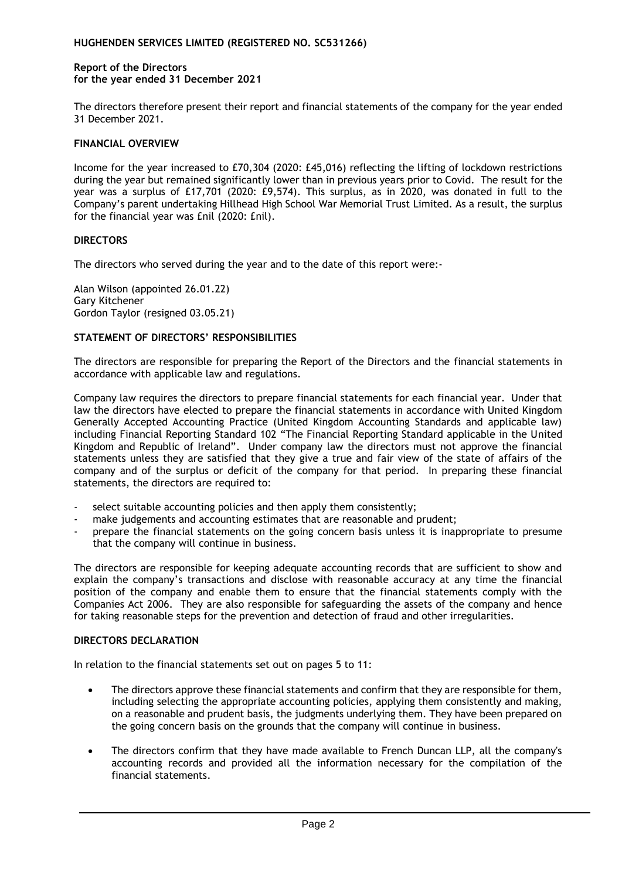### **Report of the Directors for the year ended 31 December 2021**

The directors therefore present their report and financial statements of the company for the year ended 31 December 2021.

# **FINANCIAL OVERVIEW**

Income for the year increased to £70,304 (2020: £45,016) reflecting the lifting of lockdown restrictions during the year but remained significantly lower than in previous years prior to Covid. The result for the year was a surplus of £17,701 (2020: £9,574). This surplus, as in 2020, was donated in full to the Company's parent undertaking Hillhead High School War Memorial Trust Limited. As a result, the surplus for the financial year was £nil (2020: £nil).

# **DIRECTORS**

The directors who served during the year and to the date of this report were:-

Alan Wilson (appointed 26.01.22) Gary Kitchener Gordon Taylor (resigned 03.05.21)

# **STATEMENT OF DIRECTORS' RESPONSIBILITIES**

The directors are responsible for preparing the Report of the Directors and the financial statements in accordance with applicable law and regulations.

Company law requires the directors to prepare financial statements for each financial year. Under that law the directors have elected to prepare the financial statements in accordance with United Kingdom Generally Accepted Accounting Practice (United Kingdom Accounting Standards and applicable law) including Financial Reporting Standard 102 "The Financial Reporting Standard applicable in the United Kingdom and Republic of Ireland". Under company law the directors must not approve the financial statements unless they are satisfied that they give a true and fair view of the state of affairs of the company and of the surplus or deficit of the company for that period. In preparing these financial statements, the directors are required to:

- select suitable accounting policies and then apply them consistently;
- make judgements and accounting estimates that are reasonable and prudent;
- prepare the financial statements on the going concern basis unless it is inappropriate to presume that the company will continue in business.

The directors are responsible for keeping adequate accounting records that are sufficient to show and explain the company's transactions and disclose with reasonable accuracy at any time the financial position of the company and enable them to ensure that the financial statements comply with the Companies Act 2006. They are also responsible for safeguarding the assets of the company and hence for taking reasonable steps for the prevention and detection of fraud and other irregularities.

# **DIRECTORS DECLARATION**

In relation to the financial statements set out on pages 5 to 11:

- The directors approve these financial statements and confirm that they are responsible for them, including selecting the appropriate accounting policies, applying them consistently and making, on a reasonable and prudent basis, the judgments underlying them. They have been prepared on the going concern basis on the grounds that the company will continue in business.
- The directors confirm that they have made available to French Duncan LLP, all the company's accounting records and provided all the information necessary for the compilation of the financial statements.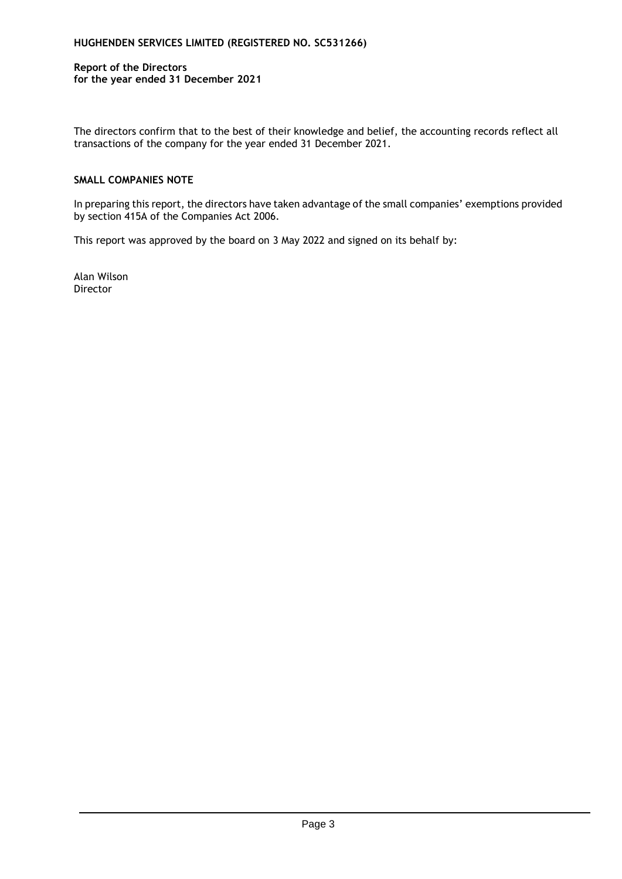# **Report of the Directors for the year ended 31 December 2021**

The directors confirm that to the best of their knowledge and belief, the accounting records reflect all transactions of the company for the year ended 31 December 2021.

# **SMALL COMPANIES NOTE**

In preparing this report, the directors have taken advantage of the small companies' exemptions provided by section 415A of the Companies Act 2006.

This report was approved by the board on 3 May 2022 and signed on its behalf by:

Alan Wilson Director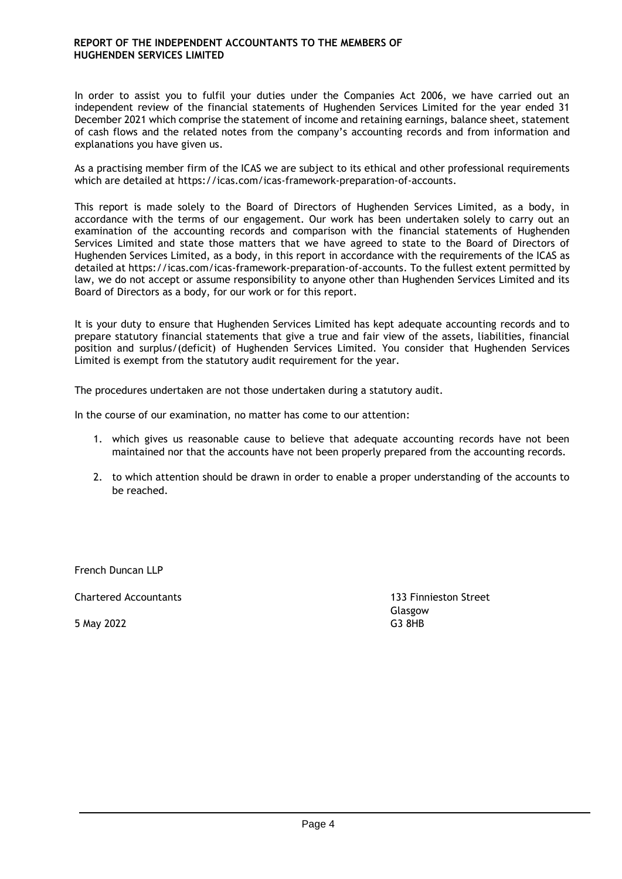In order to assist you to fulfil your duties under the Companies Act 2006, we have carried out an independent review of the financial statements of Hughenden Services Limited for the year ended 31 December 2021 which comprise the statement of income and retaining earnings, balance sheet, statement of cash flows and the related notes from the company's accounting records and from information and explanations you have given us.

As a practising member firm of the ICAS we are subject to its ethical and other professional requirements which are detailed at https://icas.com/icas-framework-preparation-of-accounts.

This report is made solely to the Board of Directors of Hughenden Services Limited, as a body, in accordance with the terms of our engagement. Our work has been undertaken solely to carry out an examination of the accounting records and comparison with the financial statements of Hughenden Services Limited and state those matters that we have agreed to state to the Board of Directors of Hughenden Services Limited, as a body, in this report in accordance with the requirements of the ICAS as detailed at https://icas.com/icas-framework-preparation-of-accounts. To the fullest extent permitted by law, we do not accept or assume responsibility to anyone other than Hughenden Services Limited and its Board of Directors as a body, for our work or for this report.

It is your duty to ensure that Hughenden Services Limited has kept adequate accounting records and to prepare statutory financial statements that give a true and fair view of the assets, liabilities, financial position and surplus/(deficit) of Hughenden Services Limited. You consider that Hughenden Services Limited is exempt from the statutory audit requirement for the year.

The procedures undertaken are not those undertaken during a statutory audit.

In the course of our examination, no matter has come to our attention:

- 1. which gives us reasonable cause to believe that adequate accounting records have not been maintained nor that the accounts have not been properly prepared from the accounting records.
- 2. to which attention should be drawn in order to enable a proper understanding of the accounts to be reached.

French Duncan LLP

Chartered Accountants 133 Finnieston Street

5 May 2022 G3 8HB

Glasgow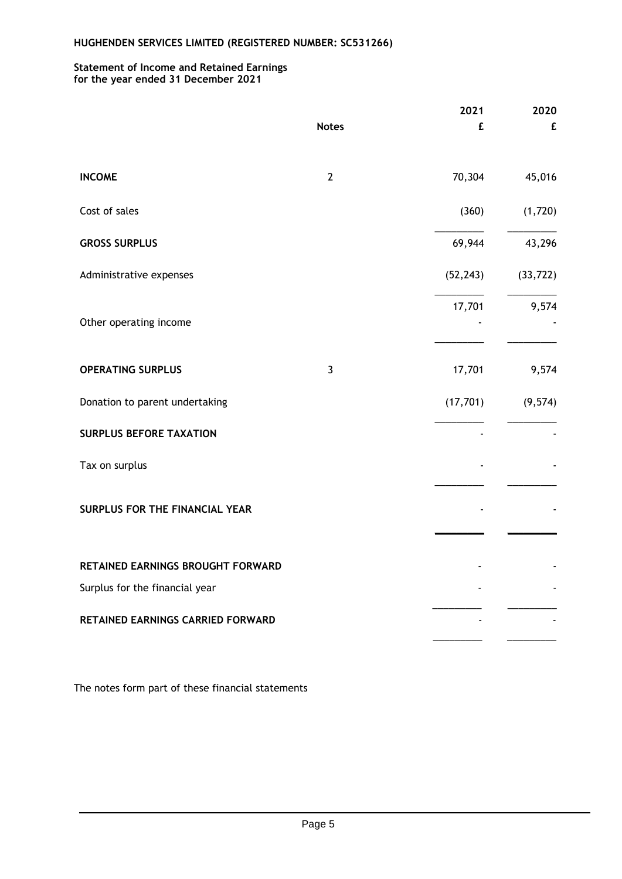#### **Statement of Income and Retained Earnings for the year ended 31 December 2021**

|                                   |                | 2021      | 2020      |
|-----------------------------------|----------------|-----------|-----------|
|                                   | <b>Notes</b>   | £         | £         |
| <b>INCOME</b>                     | $\overline{2}$ | 70,304    | 45,016    |
| Cost of sales                     |                | (360)     | (1,720)   |
| <b>GROSS SURPLUS</b>              |                | 69,944    | 43,296    |
| Administrative expenses           |                | (52, 243) | (33, 722) |
| Other operating income            |                | 17,701    | 9,574     |
| <b>OPERATING SURPLUS</b>          | $\overline{3}$ | 17,701    | 9,574     |
| Donation to parent undertaking    |                | (17, 701) | (9, 574)  |
| <b>SURPLUS BEFORE TAXATION</b>    |                |           |           |
| Tax on surplus                    |                |           |           |
| SURPLUS FOR THE FINANCIAL YEAR    |                |           |           |
| RETAINED EARNINGS BROUGHT FORWARD |                |           |           |
| Surplus for the financial year    |                |           |           |
| RETAINED EARNINGS CARRIED FORWARD |                |           |           |

The notes form part of these financial statements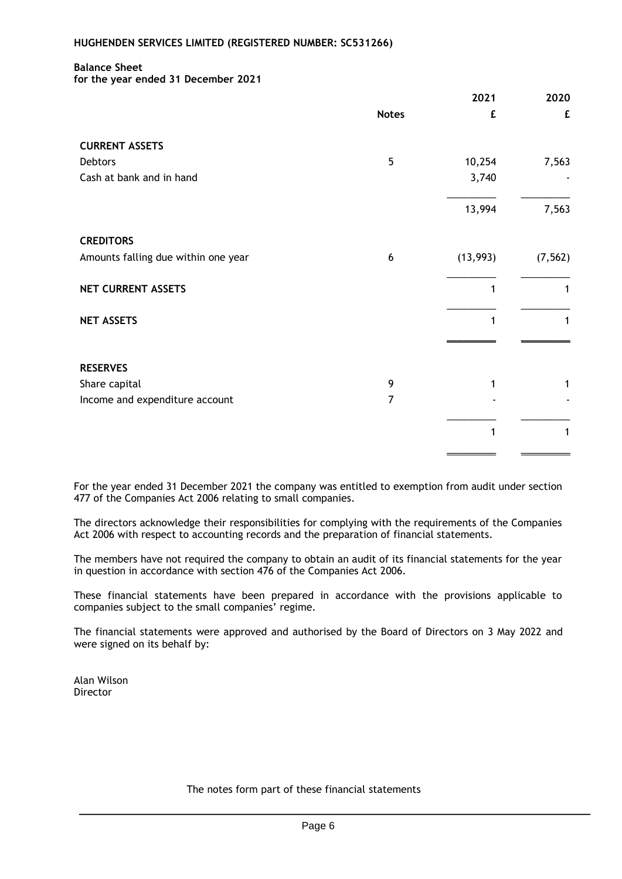### **Balance Sheet**

**for the year ended 31 December 2021**

|                                     |              | 2021     | 2020     |
|-------------------------------------|--------------|----------|----------|
|                                     | <b>Notes</b> | £        | £        |
| <b>CURRENT ASSETS</b>               |              |          |          |
| <b>Debtors</b>                      | 5            | 10,254   | 7,563    |
| Cash at bank and in hand            |              | 3,740    |          |
|                                     |              | 13,994   | 7,563    |
| <b>CREDITORS</b>                    |              |          |          |
| Amounts falling due within one year | 6            | (13,993) | (7, 562) |
| NET CURRENT ASSETS                  |              | 1        | 1        |
| <b>NET ASSETS</b>                   |              | 1        | 1        |
|                                     |              |          |          |
| <b>RESERVES</b>                     |              |          |          |
| Share capital                       | 9            |          | 1        |
| Income and expenditure account      | 7            |          |          |
|                                     |              | 1        | 1        |
|                                     |              |          |          |

For the year ended 31 December 2021 the company was entitled to exemption from audit under section 477 of the Companies Act 2006 relating to small companies.

The directors acknowledge their responsibilities for complying with the requirements of the Companies Act 2006 with respect to accounting records and the preparation of financial statements.

The members have not required the company to obtain an audit of its financial statements for the year in question in accordance with section 476 of the Companies Act 2006.

These financial statements have been prepared in accordance with the provisions applicable to companies subject to the small companies' regime.

The financial statements were approved and authorised by the Board of Directors on 3 May 2022 and were signed on its behalf by:

Alan Wilson Director

The notes form part of these financial statements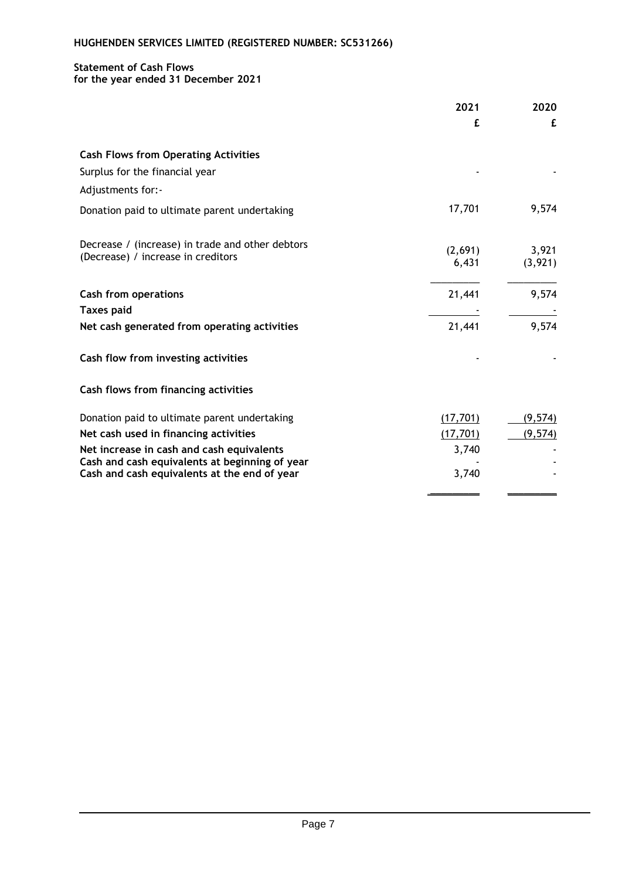# **Statement of Cash Flows**

# **for the year ended 31 December 2021**

|                                                                                        | 2021             | 2020              |
|----------------------------------------------------------------------------------------|------------------|-------------------|
|                                                                                        | £                | £                 |
| <b>Cash Flows from Operating Activities</b>                                            |                  |                   |
| Surplus for the financial year                                                         |                  |                   |
| Adjustments for:-                                                                      |                  |                   |
| Donation paid to ultimate parent undertaking                                           | 17,701           | 9,574             |
| Decrease / (increase) in trade and other debtors<br>(Decrease) / increase in creditors | (2,691)<br>6,431 | 3,921<br>(3, 921) |
| <b>Cash from operations</b>                                                            | 21,441           | 9,574             |
| <b>Taxes paid</b>                                                                      |                  |                   |
| Net cash generated from operating activities                                           | 21,441           | 9,574             |
| Cash flow from investing activities                                                    |                  |                   |
| Cash flows from financing activities                                                   |                  |                   |
| Donation paid to ultimate parent undertaking                                           | (17, 701)        | (9, 574)          |
| Net cash used in financing activities                                                  | (17, 701)        | (9, 574)          |
| Net increase in cash and cash equivalents                                              | 3,740            |                   |
| Cash and cash equivalents at beginning of year                                         |                  |                   |
| Cash and cash equivalents at the end of year                                           | 3,740            |                   |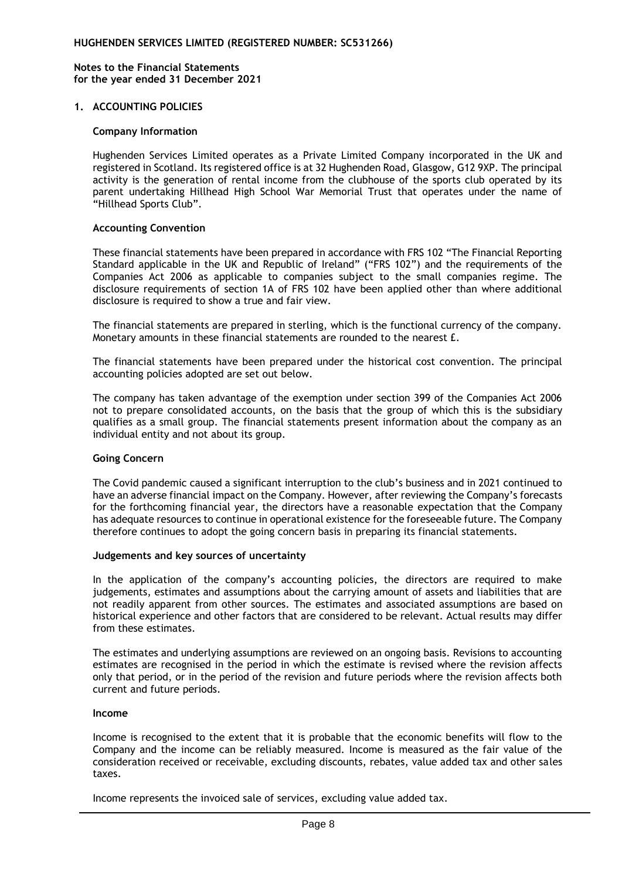**Notes to the Financial Statements for the year ended 31 December 2021**

### **1. ACCOUNTING POLICIES**

#### **Company Information**

Hughenden Services Limited operates as a Private Limited Company incorporated in the UK and registered in Scotland. Its registered office is at 32 Hughenden Road, Glasgow, G12 9XP. The principal activity is the generation of rental income from the clubhouse of the sports club operated by its parent undertaking Hillhead High School War Memorial Trust that operates under the name of "Hillhead Sports Club".

### **Accounting Convention**

These financial statements have been prepared in accordance with FRS 102 "The Financial Reporting Standard applicable in the UK and Republic of Ireland" ("FRS 102") and the requirements of the Companies Act 2006 as applicable to companies subject to the small companies regime. The disclosure requirements of section 1A of FRS 102 have been applied other than where additional disclosure is required to show a true and fair view.

The financial statements are prepared in sterling, which is the functional currency of the company. Monetary amounts in these financial statements are rounded to the nearest £.

The financial statements have been prepared under the historical cost convention. The principal accounting policies adopted are set out below.

The company has taken advantage of the exemption under section 399 of the Companies Act 2006 not to prepare consolidated accounts, on the basis that the group of which this is the subsidiary qualifies as a small group. The financial statements present information about the company as an individual entity and not about its group.

#### **Going Concern**

The Covid pandemic caused a significant interruption to the club's business and in 2021 continued to have an adverse financial impact on the Company. However, after reviewing the Company's forecasts for the forthcoming financial year, the directors have a reasonable expectation that the Company has adequate resources to continue in operational existence for the foreseeable future. The Company therefore continues to adopt the going concern basis in preparing its financial statements.

#### **Judgements and key sources of uncertainty**

In the application of the company's accounting policies, the directors are required to make judgements, estimates and assumptions about the carrying amount of assets and liabilities that are not readily apparent from other sources. The estimates and associated assumptions are based on historical experience and other factors that are considered to be relevant. Actual results may differ from these estimates.

The estimates and underlying assumptions are reviewed on an ongoing basis. Revisions to accounting estimates are recognised in the period in which the estimate is revised where the revision affects only that period, or in the period of the revision and future periods where the revision affects both current and future periods.

### **Income**

Income is recognised to the extent that it is probable that the economic benefits will flow to the Company and the income can be reliably measured. Income is measured as the fair value of the consideration received or receivable, excluding discounts, rebates, value added tax and other sales taxes.

Income represents the invoiced sale of services, excluding value added tax.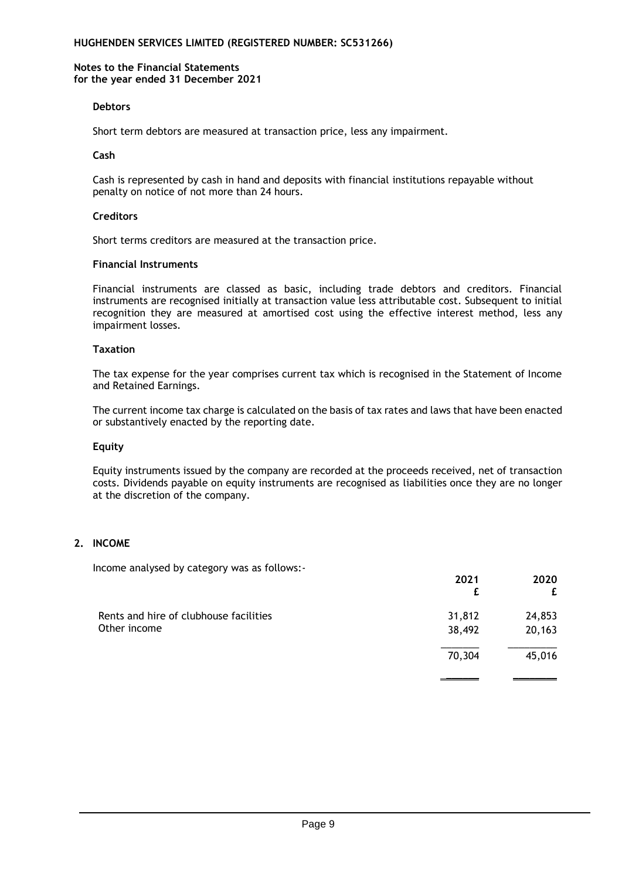#### **Notes to the Financial Statements for the year ended 31 December 2021**

### **Debtors**

Short term debtors are measured at transaction price, less any impairment.

### **Cash**

Cash is represented by cash in hand and deposits with financial institutions repayable without penalty on notice of not more than 24 hours.

#### **Creditors**

Short terms creditors are measured at the transaction price.

### **Financial Instruments**

Financial instruments are classed as basic, including trade debtors and creditors. Financial instruments are recognised initially at transaction value less attributable cost. Subsequent to initial recognition they are measured at amortised cost using the effective interest method, less any impairment losses.

### **Taxation**

The tax expense for the year comprises current tax which is recognised in the Statement of Income and Retained Earnings.

The current income tax charge is calculated on the basis of tax rates and laws that have been enacted or substantively enacted by the reporting date.

### **Equity**

Equity instruments issued by the company are recorded at the proceeds received, net of transaction costs. Dividends payable on equity instruments are recognised as liabilities once they are no longer at the discretion of the company.

# **2. INCOME**

Income analysed by category was as follows:-

|                                        | 2021   | 2020<br>£ |
|----------------------------------------|--------|-----------|
| Rents and hire of clubhouse facilities | 31,812 | 24,853    |
| Other income                           | 38,492 | 20,163    |
|                                        | 70,304 | 45,016    |
|                                        |        |           |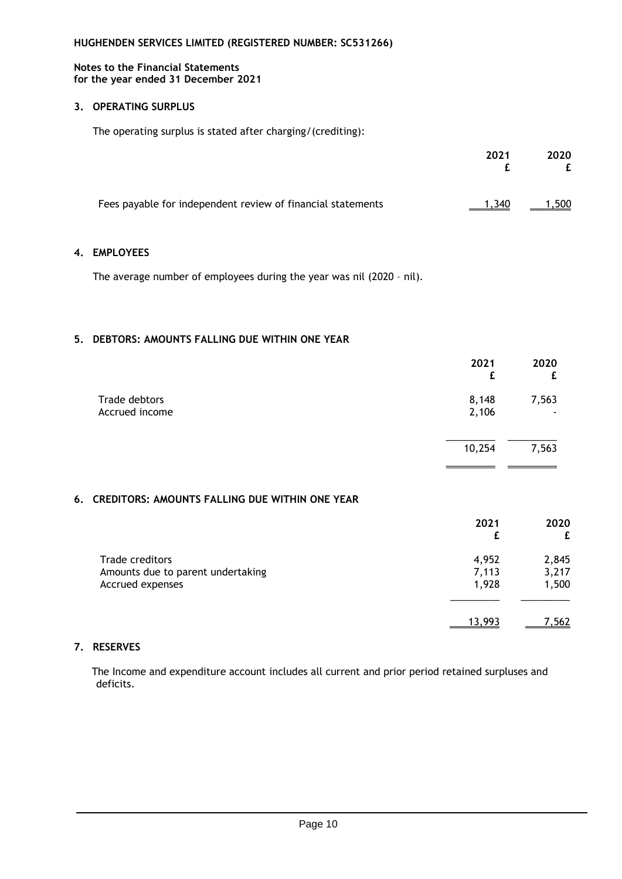#### **Notes to the Financial Statements for the year ended 31 December 2021**

### **3. OPERATING SURPLUS**

The operating surplus is stated after charging/(crediting):

|                                                             | 2021  | 2020  |
|-------------------------------------------------------------|-------|-------|
| Fees payable for independent review of financial statements | 1.340 | 1,500 |

### **4. EMPLOYEES**

The average number of employees during the year was nil (2020 – nil).

# **5. DEBTORS: AMOUNTS FALLING DUE WITHIN ONE YEAR**

|                | 2021   | 2020  |
|----------------|--------|-------|
| Trade debtors  | 8,148  | 7,563 |
| Accrued income | 2,106  |       |
|                | 10,254 | 7,563 |

\_\_\_\_\_\_\_\_\_ \_\_\_\_\_\_\_\_\_

### **6. CREDITORS: AMOUNTS FALLING DUE WITHIN ONE YEAR**

|                                                      | 2021           | 2020<br>£      |
|------------------------------------------------------|----------------|----------------|
| Trade creditors<br>Amounts due to parent undertaking | 4,952<br>7,113 | 2,845<br>3,217 |
| Accrued expenses                                     | 1,928          | 1,500          |
|                                                      | 13.993         | 7,562          |

# **7. RESERVES**

The Income and expenditure account includes all current and prior period retained surpluses and deficits.